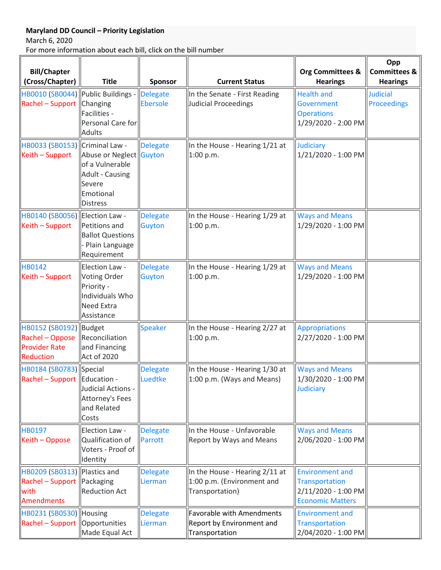## **Maryland DD Council – Priority Legislation**

March 6, 2020

For more information about each bill, click on the bill number

| <b>Bill/Chapter</b><br>(Cross/Chapter)                                           | <b>Title</b>                                                                                                   | Sponsor                            | <b>Current Status</b>                                                           | <b>Org Committees &amp;</b><br><b>Hearings</b>                                             | Opp<br><b>Committees &amp;</b><br><b>Hearings</b> |
|----------------------------------------------------------------------------------|----------------------------------------------------------------------------------------------------------------|------------------------------------|---------------------------------------------------------------------------------|--------------------------------------------------------------------------------------------|---------------------------------------------------|
| HB0010 (SB0044) Public Buildings -<br>Rachel - Support Changing                  | Facilities -<br>Personal Care for<br><b>Adults</b>                                                             | <b>Delegate</b><br><b>Ebersole</b> | In the Senate - First Reading<br>Judicial Proceedings                           | <b>Health and</b><br>Government<br><b>Operations</b><br>1/29/2020 - 2:00 PM                | <b>Judicial</b><br><b>Proceedings</b>             |
| HB0033 (SB0153) Criminal Law -<br>Keith - Support                                | Abuse or Neglect Guyton<br>of a Vulnerable<br><b>Adult - Causing</b><br>Severe<br>Emotional<br><b>Distress</b> | <b>Delegate</b>                    | In the House - Hearing 1/21 at<br>1:00 p.m.                                     | Judiciary<br>1/21/2020 - 1:00 PM                                                           |                                                   |
| HB0140 (SB0056)   Election Law -<br>Keith - Support                              | Petitions and<br><b>Ballot Questions</b><br>Plain Language<br>Requirement                                      | <b>Delegate</b><br>Guyton          | In the House - Hearing 1/29 at<br>1:00 p.m.                                     | <b>Ways and Means</b><br>1/29/2020 - 1:00 PM                                               |                                                   |
| <b>HB0142</b><br>Keith - Support                                                 | <b>Election Law -</b><br>Voting Order<br>Priority -<br>Individuals Who<br><b>Need Extra</b><br>Assistance      | <b>Delegate</b><br>Guyton          | In the House - Hearing 1/29 at<br>1:00 p.m.                                     | <b>Ways and Means</b><br>1/29/2020 - 1:00 PM                                               |                                                   |
| HB0152 (SB0192)  Budget<br>Rachel - Oppose<br><b>Provider Rate</b><br>Reduction  | Reconciliation<br>and Financing<br><b>Act of 2020</b>                                                          | <b>Speaker</b>                     | In the House - Hearing 2/27 at<br>1:00 p.m.                                     | <b>Appropriations</b><br>2/27/2020 - 1:00 PM                                               |                                                   |
| HB0184 (SB0783) Special<br>Rachel - Support  Education -                         | Judicial Actions -<br><b>Attorney's Fees</b><br>and Related<br>Costs                                           | <b>Delegate</b><br>Luedtke         | In the House - Hearing 1/30 at<br>1:00 p.m. (Ways and Means)                    | <b>Ways and Means</b><br>1/30/2020 - 1:00 PM<br>Judiciary                                  |                                                   |
| <b>HB0197</b><br>Keith - Oppose                                                  | Election Law -<br>Qualification of<br>Voters - Proof of<br>Identity                                            | <b>Delegate</b><br>Parrott         | In the House - Unfavorable<br>Report by Ways and Means                          | <b>Ways and Means</b><br>2/06/2020 - 1:00 PM                                               |                                                   |
| HB0209 (SB0313) Plastics and<br>Rachel - Support Packaging<br>with<br>Amendments | <b>Reduction Act</b>                                                                                           | <b>Delegate</b><br>Lierman         | In the House - Hearing 2/11 at<br>1:00 p.m. (Environment and<br>Transportation) | <b>Environment and</b><br>Transportation<br>2/11/2020 - 1:00 PM<br><b>Economic Matters</b> |                                                   |
| HB0231 (SB0530) Housing<br>Rachel - Support   Opportunities                      | Made Equal Act                                                                                                 | <b>Delegate</b><br>Lierman         | <b>Favorable with Amendments</b><br>Report by Environment and<br>Transportation | <b>Environment and</b><br>Transportation<br>2/04/2020 - 1:00 PM                            |                                                   |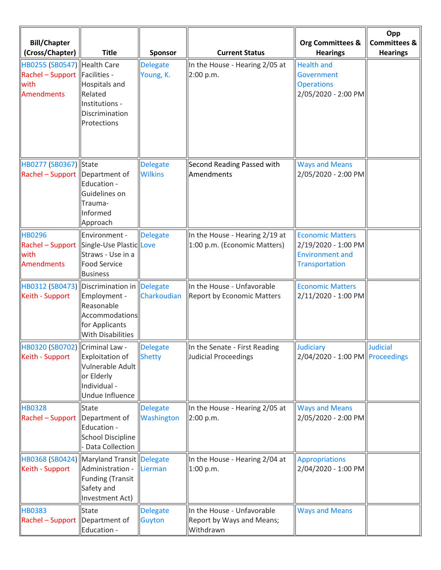| <b>Bill/Chapter</b><br>(Cross/Chapter)                                                       | <b>Title</b>                                                                               | Sponsor                           | <b>Current Status</b>                                                | <b>Org Committees &amp;</b><br><b>Hearings</b>                                                    | Opp<br><b>Committees &amp;</b><br><b>Hearings</b> |
|----------------------------------------------------------------------------------------------|--------------------------------------------------------------------------------------------|-----------------------------------|----------------------------------------------------------------------|---------------------------------------------------------------------------------------------------|---------------------------------------------------|
| HB0255 (SB0547)  Health Care<br>Rachel - Support   Facilities -<br>with<br><b>Amendments</b> | Hospitals and<br>Related<br>Institutions -<br>Discrimination<br>Protections                | <b>Delegate</b><br>Young, K.      | In the House - Hearing 2/05 at<br>2:00 p.m.                          | <b>Health and</b><br>Government<br><b>Operations</b><br>2/05/2020 - 2:00 PM                       |                                                   |
| HB0277 (SB0367) State<br>$\vert$ Rachel – Support $\vert$ Department of                      | Education -<br>Guidelines on<br>Trauma-<br>Informed<br>Approach                            | <b>Delegate</b><br><b>Wilkins</b> | Second Reading Passed with<br>Amendments                             | <b>Ways and Means</b><br>2/05/2020 - 2:00 PM                                                      |                                                   |
| <b>HB0296</b><br>Rachel - Support Single-Use PlasticLLove<br>with<br>Amendments              | Environment -<br>Straws - Use in a<br><b>Food Service</b><br><b>Business</b>               | <b>Delegate</b>                   | In the House - Hearing 2/19 at<br>1:00 p.m. (Economic Matters)       | <b>Economic Matters</b><br>2/19/2020 - 1:00 PM<br><b>Environment and</b><br><b>Transportation</b> |                                                   |
| HB0312 (SB0473) Discrimination in<br>Keith - Support                                         | Employment -<br>Reasonable<br>Accommodations<br>for Applicants<br><b>With Disabilities</b> | Delegate<br>Charkoudian           | In the House - Unfavorable<br><b>Report by Economic Matters</b>      | <b>Economic Matters</b><br>2/11/2020 - 1:00 PM                                                    |                                                   |
| HB0320 (SB0702) Criminal Law -<br>Keith - Support                                            | Exploitation of<br>Vulnerable Adult<br>or Elderly<br>Individual -<br>Undue Influence       | Delegate<br><b>Shetty</b>         | In the Senate - First Reading<br>Judicial Proceedings                | Judiciary<br>2/04/2020 - 1:00 PM Proceedings                                                      | <b>Judicial</b>                                   |
| <b>HB0328</b><br>Rachel - Support  Department of                                             | <b>State</b><br>Education -<br><b>School Discipline</b><br><b>Data Collection</b>          | <b>Delegate</b><br>Washington     | In the House - Hearing 2/05 at<br>2:00 p.m.                          | <b>Ways and Means</b><br>2/05/2020 - 2:00 PM                                                      |                                                   |
| HB0368 (SB0424) Maryland Transit Delegate<br>Keith - Support                                 | Administration -<br><b>Funding (Transit</b><br>Safety and<br>Investment Act)               | Lierman                           | In the House - Hearing 2/04 at<br>1:00 p.m.                          | <b>Appropriations</b><br>2/04/2020 - 1:00 PM                                                      |                                                   |
| <b>HB0383</b><br>Rachel - Support  Department of                                             | <b>State</b><br>Education -                                                                | <b>Delegate</b><br><b>Guyton</b>  | In the House - Unfavorable<br>Report by Ways and Means;<br>Withdrawn | <b>Ways and Means</b>                                                                             |                                                   |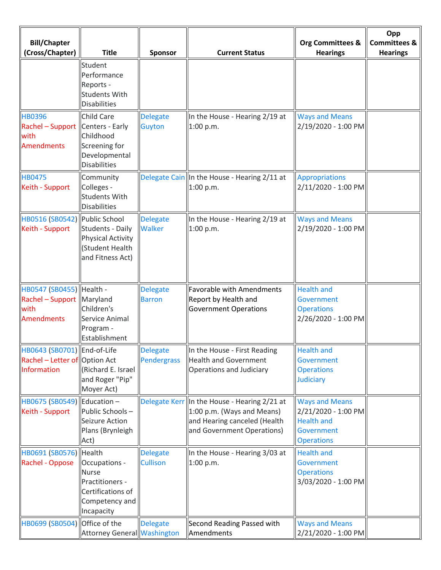| <b>Bill/Chapter</b><br>(Cross/Chapter)                                              | <b>Title</b>                                                                                          | <b>Sponsor</b>                     | <b>Current Status</b>                                                                                                                    | <b>Org Committees &amp;</b><br><b>Hearings</b>                                                       | Opp<br><b>Committees &amp;</b><br><b>Hearings</b> |
|-------------------------------------------------------------------------------------|-------------------------------------------------------------------------------------------------------|------------------------------------|------------------------------------------------------------------------------------------------------------------------------------------|------------------------------------------------------------------------------------------------------|---------------------------------------------------|
|                                                                                     | Student                                                                                               |                                    |                                                                                                                                          |                                                                                                      |                                                   |
|                                                                                     | Performance<br>Reports -<br><b>Students With</b><br><b>Disabilities</b>                               |                                    |                                                                                                                                          |                                                                                                      |                                                   |
| <b>HB0396</b><br>Rachel - Support   Centers - Early<br>with<br><b>Amendments</b>    | <b>Child Care</b><br>Childhood<br>Screening for<br>Developmental<br><b>Disabilities</b>               | <b>Delegate</b><br><b>Guyton</b>   | In the House - Hearing 2/19 at<br>1:00 p.m.                                                                                              | <b>Ways and Means</b><br>2/19/2020 - 1:00 PM                                                         |                                                   |
| <b>HB0475</b><br>Keith - Support                                                    | Community<br>Colleges -<br>Students With<br><b>Disabilities</b>                                       |                                    | Delegate Cain   In the House - Hearing 2/11 at<br>1:00 p.m.                                                                              | <b>Appropriations</b><br>2/11/2020 - 1:00 PM                                                         |                                                   |
| HB0516 (SB0542) Public School<br>Keith - Support                                    | Students - Daily<br><b>Physical Activity</b><br>(Student Health<br>and Fitness Act)                   | <b>Delegate</b><br><b>Walker</b>   | In the House - Hearing 2/19 at<br>1:00 p.m.                                                                                              | <b>Ways and Means</b><br>2/19/2020 - 1:00 PM                                                         |                                                   |
| HB0547 (SB0455)  Health -<br>$Rachel-Support$ Maryland<br>with<br><b>Amendments</b> | Children's<br>Service Animal<br>Program -<br>Establishment                                            | <b>Delegate</b><br><b>Barron</b>   | Favorable with Amendments<br>Report by Health and<br><b>Government Operations</b>                                                        | <b>Health and</b><br>Government<br><b>Operations</b><br>2/26/2020 - 1:00 PM                          |                                                   |
| HB0643 (SB0701) End-of-Life<br>Rachel - Letter of Option Act<br>Information         | Richard E. Israel<br>and Roger "Pip"<br>Moyer Act)                                                    | Delegate<br>Pendergrass            | In the House - First Reading<br><b>Health and Government</b><br>Operations and Judiciary                                                 | <b>Health and</b><br>Government<br><b>Operations</b><br>Judiciary                                    |                                                   |
| HB0675 (SB0549) Education -<br>Keith - Support                                      | Public Schools-<br>Seizure Action<br>Plans (Brynleigh<br>Act)                                         |                                    | Delegate Kerr In the House - Hearing 2/21 at<br>1:00 p.m. (Ways and Means)<br>and Hearing canceled (Health<br>and Government Operations) | <b>Ways and Means</b><br>2/21/2020 - 1:00 PM<br><b>Health and</b><br>Government<br><b>Operations</b> |                                                   |
| HB0691 (SB0576) Health<br>Rachel - Oppose                                           | Occupations -<br><b>Nurse</b><br>Practitioners -<br>Certifications of<br>Competency and<br>Incapacity | <b>Delegate</b><br><b>Cullison</b> | In the House - Hearing 3/03 at<br>1:00 p.m.                                                                                              | <b>Health and</b><br><b>Government</b><br><b>Operations</b><br>3/03/2020 - 1:00 PM                   |                                                   |
| HB0699 (SB0504) Office of the                                                       | Attorney General Washington                                                                           | <b>Delegate</b>                    | Second Reading Passed with<br>Amendments                                                                                                 | <b>Ways and Means</b><br>2/21/2020 - 1:00 PM                                                         |                                                   |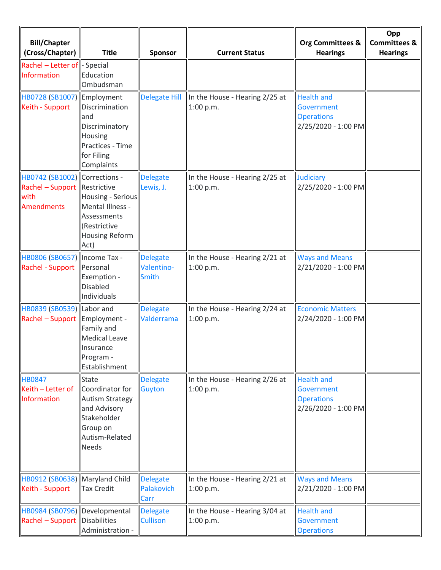| <b>Bill/Chapter</b><br>(Cross/Chapter)                                                     | <b>Title</b>                                                                                                                    | <b>Sponsor</b>                                | <b>Current Status</b>                         | <b>Org Committees &amp;</b><br><b>Hearings</b>                                     | Opp<br><b>Committees &amp;</b><br><b>Hearings</b> |
|--------------------------------------------------------------------------------------------|---------------------------------------------------------------------------------------------------------------------------------|-----------------------------------------------|-----------------------------------------------|------------------------------------------------------------------------------------|---------------------------------------------------|
| Rachel - Letter of $\vert$ - Special<br>Information                                        | Education<br>Ombudsman                                                                                                          |                                               |                                               |                                                                                    |                                                   |
| HB0728 (SB1007) Employment<br>Keith - Support                                              | Discrimination<br>and<br>Discriminatory<br>Housing<br>Practices - Time<br>for Filing<br>Complaints                              | <b>Delegate Hill</b>                          | In the House - Hearing 2/25 at<br>1:00 p.m.   | <b>Health and</b><br><b>Government</b><br><b>Operations</b><br>2/25/2020 - 1:00 PM |                                                   |
| HB0742 (SB1002) Corrections -<br>Rachel - Support Restrictive<br>with<br><b>Amendments</b> | Housing - Serious<br>Mental Illness -<br>Assessments<br>(Restrictive<br><b>Housing Reform</b><br>Act)                           | <b>Delegate</b><br>Lewis, J.                  | In the House - Hearing 2/25 at<br>1:00 p.m.   | Judiciary<br>2/25/2020 - 1:00 PM                                                   |                                                   |
| HB0806 (SB0657)  Income Tax -<br>Rachel - Support   Personal                               | Exemption -<br><b>Disabled</b><br>Individuals                                                                                   | <b>Delegate</b><br>Valentino-<br><b>Smith</b> | In the House - Hearing 2/21 at<br>1:00 p.m.   | <b>Ways and Means</b><br>2/21/2020 - 1:00 PM                                       |                                                   |
| HB0839 (SB0539) Labor and<br>Rachel - Support Employment -                                 | Family and<br><b>Medical Leave</b><br>Insurance<br>Program -<br>Establishment                                                   | <b>Delegate</b><br>Valderrama                 | In the House - Hearing 2/24 at<br>1:00 p.m.   | <b>Economic Matters</b><br>2/24/2020 - 1:00 PM                                     |                                                   |
| <b>HB0847</b><br>Keith - Letter of<br>Information                                          | State<br>Coordinator for<br><b>Autism Strategy</b><br>and Advisory<br>Stakeholder<br>Group on<br>Autism-Related<br><b>Needs</b> | <b>Delegate</b><br>Guyton                     | In the House - Hearing 2/26 at<br>1:00 p.m.   | <b>Health and</b><br>Government<br><b>Operations</b><br>2/26/2020 - 1:00 PM        |                                                   |
| HB0912 (SB0638) Maryland Child<br>Keith - Support                                          | Tax Credit                                                                                                                      | <b>Delegate</b><br>Palakovich<br>Carr         | In the House - Hearing $2/21$ at<br>1:00 p.m. | <b>Ways and Means</b><br>2/21/2020 - 1:00 PM                                       |                                                   |
| HB0984 (SB0796) Developmental<br>$\vert$ Rachel – Support $\vert$ Disabilities             | Administration -                                                                                                                | <b>Delegate</b><br><b>Cullison</b>            | In the House - Hearing 3/04 at<br>1:00 p.m.   | <b>Health and</b><br>Government<br><b>Operations</b>                               |                                                   |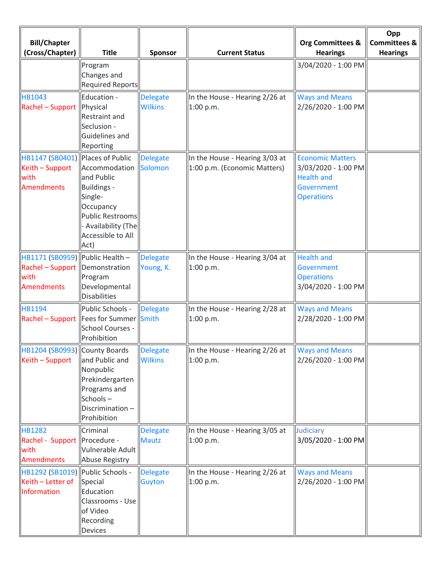| <b>Bill/Chapter</b><br>(Cross/Chapter)                                                           | <b>Title</b>                                                                                                                                              | <b>Sponsor</b>                    | <b>Current Status</b>                                          | <b>Org Committees &amp;</b><br><b>Hearings</b>                                                         | Opp<br><b>Committees &amp;</b><br><b>Hearings</b> |
|--------------------------------------------------------------------------------------------------|-----------------------------------------------------------------------------------------------------------------------------------------------------------|-----------------------------------|----------------------------------------------------------------|--------------------------------------------------------------------------------------------------------|---------------------------------------------------|
|                                                                                                  | Program<br>Changes and<br><b>Required Reports</b>                                                                                                         |                                   |                                                                | 3/04/2020 - 1:00 PM                                                                                    |                                                   |
| HB1043<br>Rachel - Support   Physical                                                            | Education -<br><b>Restraint and</b><br>Seclusion -<br>Guidelines and<br>Reporting                                                                         | <b>Delegate</b><br><b>Wilkins</b> | In the House - Hearing 2/26 at<br>1:00 p.m.                    | <b>Ways and Means</b><br>2/26/2020 - 1:00 PM                                                           |                                                   |
| HB1147 (SB0401) Places of Public<br>Keith - Support<br>with<br><b>Amendments</b>                 | Accommodation Solomon<br>and Public<br>Buildings -<br>Single-<br>Occupancy<br><b>Public Restrooms</b><br>- Availability (The<br>Accessible to All<br>Act) | <b>Delegate</b>                   | In the House - Hearing 3/03 at<br>1:00 p.m. (Economic Matters) | <b>Economic Matters</b><br>3/03/2020 - 1:00 PM<br><b>Health and</b><br>Government<br><b>Operations</b> |                                                   |
| HB1171 (SB0959) Public Health -<br>Rachel - Support   Demonstration<br>with<br><b>Amendments</b> | Program<br>Developmental<br><b>Disabilities</b>                                                                                                           | Delegate<br>Young, K.             | In the House - Hearing 3/04 at<br>1:00 p.m.                    | <b>Health and</b><br>Government<br><b>Operations</b><br>3/04/2020 - 1:00 PM                            |                                                   |
| HB1194<br>Rachel - Support  Fees for Summer  Smith                                               | Public Schools -<br>School Courses -<br>Prohibition                                                                                                       | <b>Delegate</b>                   | In the House - Hearing 2/28 at<br>1:00 p.m.                    | <b>Ways and Means</b><br>2/28/2020 - 1:00 PM                                                           |                                                   |
| HB1204 (SB0993) County Boards<br>Keith - Support                                                 | and Public and<br>Nonpublic<br>Prekindergarten<br>Programs and<br>Schools-<br>Discrimination-<br>Prohibition                                              | Delegate<br><b>Wilkins</b>        | In the House - Hearing $2/26$ at<br>1:00 p.m.                  | <b>Ways and Means</b><br>2/26/2020 - 1:00 PM                                                           |                                                   |
| <b>HB1282</b><br>Rachel - Support Procedure -<br>with<br>Amendments                              | Criminal<br>Vulnerable Adult<br>Abuse Registry                                                                                                            | <b>Delegate</b><br><b>Mautz</b>   | In the House - Hearing 3/05 at<br>1:00 p.m.                    | Judiciary<br>3/05/2020 - 1:00 PM                                                                       |                                                   |
| HB1292 (SB1019) Public Schools -<br>Keith - Letter of<br>Information                             | Special<br>Education<br>Classrooms - Use<br>of Video<br>Recording<br><b>Devices</b>                                                                       | <b>Delegate</b><br>Guyton         | In the House - Hearing 2/26 at<br>1:00 p.m.                    | <b>Ways and Means</b><br>2/26/2020 - 1:00 PM                                                           |                                                   |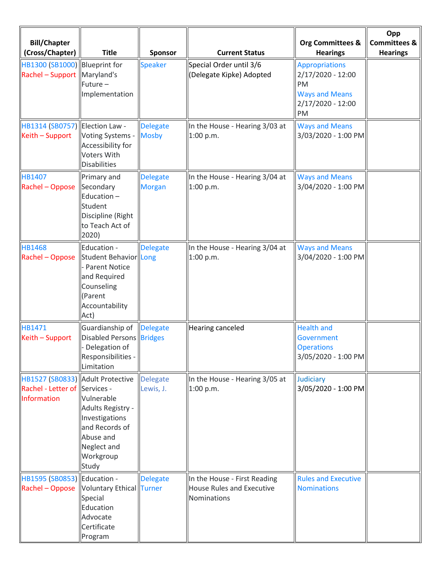| <b>Bill/Chapter</b><br>(Cross/Chapter)                                           | <b>Title</b>                                                                                                               | <b>Sponsor</b>                   | <b>Current Status</b>                                                           | <b>Org Committees &amp;</b><br><b>Hearings</b>                                                                | Opp<br><b>Committees &amp;</b><br><b>Hearings</b> |
|----------------------------------------------------------------------------------|----------------------------------------------------------------------------------------------------------------------------|----------------------------------|---------------------------------------------------------------------------------|---------------------------------------------------------------------------------------------------------------|---------------------------------------------------|
| HB1300 (SB1000)<br>Rachel - Support                                              | <b>Blueprint for</b><br>Maryland's<br>Future-<br>Implementation                                                            | <b>Speaker</b>                   | Special Order until 3/6<br>(Delegate Kipke) Adopted                             | <b>Appropriations</b><br>2/17/2020 - 12:00<br><b>PM</b><br><b>Ways and Means</b><br>$2/17/2020 - 12:00$<br>PM |                                                   |
| HB1314 (SB0757)<br>Keith - Support                                               | Election Law -<br>Voting Systems -<br>Accessibility for<br><b>Voters With</b><br><b>Disabilities</b>                       | <b>Delegate</b><br><b>Mosby</b>  | In the House - Hearing 3/03 at<br>1:00 p.m.                                     | <b>Ways and Means</b><br>3/03/2020 - 1:00 PM                                                                  |                                                   |
| HB1407<br>Rachel - Oppose                                                        | Primary and<br>Secondary<br>Education-<br>Student<br>Discipline (Right<br>to Teach Act of<br>2020)                         | <b>Delegate</b><br><b>Morgan</b> | In the House - Hearing 3/04 at<br>1:00 p.m.                                     | <b>Ways and Means</b><br>3/04/2020 - 1:00 PM                                                                  |                                                   |
| <b>HB1468</b><br>Rachel - Oppose                                                 | Education -<br>Student Behavior Long<br>- Parent Notice<br>and Required<br>Counseling<br>(Parent<br>Accountability<br>Act) | <b>Delegate</b>                  | In the House - Hearing 3/04 at<br>1:00 p.m.                                     | <b>Ways and Means</b><br>3/04/2020 - 1:00 PM                                                                  |                                                   |
| HB1471<br>Keith - Support                                                        | Guardianship of<br><b>Disabled Persons Bridges</b><br>- Delegation of<br>Responsibilities -<br>Limitation                  | Delegate                         | <b>Hearing canceled</b>                                                         | <b>Health and</b><br>Government<br><b>Operations</b><br>3/05/2020 - 1:00 PM                                   |                                                   |
| HB1527 (SB0833) Adult Protective<br>Rachel - Letter of Services -<br>Information | Vulnerable<br>Adults Registry -<br>Investigations<br>and Records of<br>Abuse and<br>Neglect and<br>Workgroup<br>Study      | <b>Delegate</b><br>Lewis, J.     | In the House - Hearing 3/05 at<br>1:00 p.m.                                     | Judiciary<br>3/05/2020 - 1:00 PM                                                                              |                                                   |
| HB1595 (SB0853) Education -<br>Rachel - Oppose                                   | <b>Voluntary Ethical Turner</b><br>Special<br>Education<br>Advocate<br>Certificate<br>Program                              | <b>Delegate</b>                  | In the House - First Reading<br><b>House Rules and Executive</b><br>Nominations | <b>Rules and Executive</b><br><b>Nominations</b>                                                              |                                                   |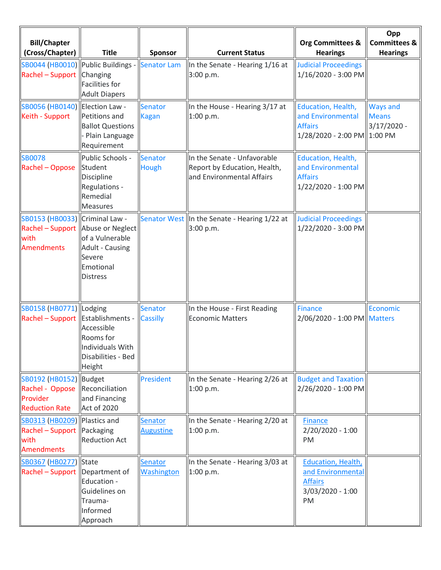| <b>Bill/Chapter</b><br>(Cross/Chapter)                                                           | <b>Title</b>                                                                                     | Sponsor                            | <b>Current Status</b>                                                                    | <b>Org Committees &amp;</b><br><b>Hearings</b>                                             | Opp<br><b>Committees &amp;</b><br><b>Hearings</b> |
|--------------------------------------------------------------------------------------------------|--------------------------------------------------------------------------------------------------|------------------------------------|------------------------------------------------------------------------------------------|--------------------------------------------------------------------------------------------|---------------------------------------------------|
| SB0044 (HB0010) Public Buildings -<br>Rachel - Support                                           | Changing<br><b>Facilities for</b><br><b>Adult Diapers</b>                                        | Senator Lam                        | In the Senate - Hearing 1/16 at<br>3:00 p.m.                                             | <b>Judicial Proceedings</b><br>1/16/2020 - 3:00 PM                                         |                                                   |
| SB0056 (HB0140) Election Law -<br>Keith - Support                                                | Petitions and<br><b>Ballot Questions</b><br>- Plain Language<br>Requirement                      | Senator<br><b>Kagan</b>            | In the House - Hearing 3/17 at<br>1:00 p.m.                                              | Education, Health,<br>and Environmental<br><b>Affairs</b><br>1/28/2020 - 2:00 PM 1:00 PM   | <b>Ways and</b><br><b>Means</b><br>$3/17/2020 -$  |
| <b>SB0078</b><br>Rachel - Oppose                                                                 | Public Schools -<br>Student<br>Discipline<br>Regulations -<br>Remedial<br><b>Measures</b>        | <b>Senator</b><br>Hough            | In the Senate - Unfavorable<br>Report by Education, Health,<br>and Environmental Affairs | Education, Health,<br>and Environmental<br><b>Affairs</b><br>1/22/2020 - 1:00 PM           |                                                   |
| SB0153 (HB0033) Criminal Law -<br>Rachel - Support Abuse or Neglect<br>with<br>Amendments        | of a Vulnerable<br><b>Adult - Causing</b><br>Severe<br>Emotional<br><b>Distress</b>              |                                    | Senator West In the Senate - Hearing 1/22 at<br>3:00 p.m.                                | <b>Judicial Proceedings</b><br>1/22/2020 - 3:00 PM                                         |                                                   |
| SB0158 (HB0771) Lodging<br>Rachel - Support   Establishments -                                   | Accessible<br>Rooms for<br>Individuals With<br>Disabilities - Bed<br><b>Height</b>               | <b>Senator</b><br><b>Cassilly</b>  | In the House - First Reading<br><b>Economic Matters</b>                                  | <b>Finance</b><br>2/06/2020 - 1:00 PM Matters                                              | Economic                                          |
| SB0192 (HB0152)  Budget<br>Rachel - Oppose<br>Provider<br><b>Reduction Rate</b>                  | Reconciliation<br>and Financing<br>Act of 2020                                                   | <b>President</b>                   | In the Senate - Hearing 2/26 at<br>1:00 p.m.                                             | <b>Budget and Taxation</b><br>2/26/2020 - 1:00 PM                                          |                                                   |
| SB0313 (HB0209)   Plastics and<br><b>Rachel - Support Packaging</b><br>with<br><b>Amendments</b> | <b>Reduction Act</b>                                                                             | <b>Senator</b><br><b>Augustine</b> | In the Senate - Hearing 2/20 at<br>1:00 p.m.                                             | <b>Finance</b><br>2/20/2020 - 1:00<br>PM                                                   |                                                   |
| SB0367 (HB0277)<br>Rachel - Support                                                              | <b>State</b><br>Department of<br>Education -<br>Guidelines on<br>Trauma-<br>Informed<br>Approach | Senator<br><b>Washington</b>       | In the Senate - Hearing 3/03 at<br>1:00 p.m.                                             | <b>Education, Health,</b><br>and Environmental<br><b>Affairs</b><br>3/03/2020 - 1:00<br>PM |                                                   |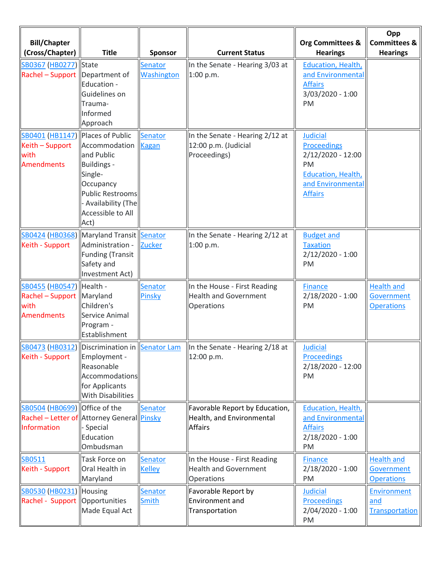| <b>Bill/Chapter</b><br>(Cross/Chapter)                                                            | <b>Title</b>                                                                                                                                      | <b>Sponsor</b>                 | <b>Current Status</b>                                                                        | <b>Org Committees &amp;</b><br><b>Hearings</b>                                                                                       | Opp<br><b>Committees &amp;</b><br><b>Hearings</b>    |
|---------------------------------------------------------------------------------------------------|---------------------------------------------------------------------------------------------------------------------------------------------------|--------------------------------|----------------------------------------------------------------------------------------------|--------------------------------------------------------------------------------------------------------------------------------------|------------------------------------------------------|
| SB0367 (HB0277) State<br>Rachel - Support Department of                                           | Education -<br>Guidelines on<br>Trauma-<br>Informed<br>Approach                                                                                   | Senator<br><b>Washington</b>   | In the Senate - Hearing 3/03 at<br>1:00 p.m.                                                 | <b>Education, Health,</b><br>and Environmental<br><b>Affairs</b><br>3/03/2020 - 1:00<br>PM                                           |                                                      |
| SB0401 (HB1147) Places of Public<br>Keith - Support<br>with<br><b>Amendments</b>                  | Accommodation<br>and Public<br>Buildings -<br>Single-<br>Occupancy<br><b>Public Restrooms</b><br>- Availability (The<br>Accessible to All<br>Act) | Senator<br>Kagan               | In the Senate - Hearing 2/12 at<br>12:00 p.m. (Judicial<br>Proceedings)                      | <b>Judicial</b><br><b>Proceedings</b><br>2/12/2020 - 12:00<br>PM<br><b>Education, Health,</b><br>and Environmental<br><b>Affairs</b> |                                                      |
| Keith - Support                                                                                   | SB0424 (HB0368) Maryland Transit Senator<br>Administration -<br>Funding (Transit<br>Safety and<br>Investment Act)                                 | <b>Zucker</b>                  | In the Senate - Hearing 2/12 at<br>1:00 p.m.                                                 | <b>Budget and</b><br><b>Taxation</b><br>$2/12/2020 - 1:00$<br>PM                                                                     |                                                      |
| SB0455 (HB0547) Health -<br>Rachel - Support   Maryland<br>with<br><b>Amendments</b>              | Children's<br>Service Animal<br>Program -<br>Establishment                                                                                        | <b>Senator</b><br>Pinsky       | In the House - First Reading<br><b>Health and Government</b><br>Operations                   | <b>Finance</b><br>$2/18/2020 - 1:00$<br>PM                                                                                           | <b>Health and</b><br>Government<br><b>Operations</b> |
| Keith - Support                                                                                   | Employment -<br>Reasonable<br>Accommodations<br>for Applicants<br><b>With Disabilities</b>                                                        |                                | SB0473 (HB0312) Discrimination in Senator Lam  In the Senate - Hearing 2/18 at<br>12:00 p.m. | <b>Judicial</b><br><b>Proceedings</b><br>2/18/2020 - 12:00<br>PM                                                                     |                                                      |
| SB0504 (HB0699) Office of the<br>Rachel - Letter of Attorney General Pinsky<br><b>Information</b> | - Special<br>Education<br>Ombudsman                                                                                                               | <b>Senator</b>                 | Favorable Report by Education,<br>Health, and Environmental<br>Affairs                       | <b>Education, Health,</b><br>and Environmental<br><b>Affairs</b><br>$2/18/2020 - 1:00$<br>PM                                         |                                                      |
| SB0511<br>Keith - Support                                                                         | <b>Task Force on</b><br>Oral Health in<br>Maryland                                                                                                | Senator<br><b>Kelley</b>       | In the House - First Reading<br><b>Health and Government</b><br><b>Operations</b>            | <b>Finance</b><br>$2/18/2020 - 1:00$<br>PM                                                                                           | <b>Health and</b><br>Government<br><b>Operations</b> |
| <b>SB0530 (HB0231) Housing</b><br>Rachel - Support   Opportunities                                | Made Equal Act                                                                                                                                    | <b>Senator</b><br><b>Smith</b> | Favorable Report by<br>Environment and<br>Transportation                                     | <b>Judicial</b><br><b>Proceedings</b><br>$2/04/2020 - 1:00$<br>PM                                                                    | Environment<br>and<br>Transportation                 |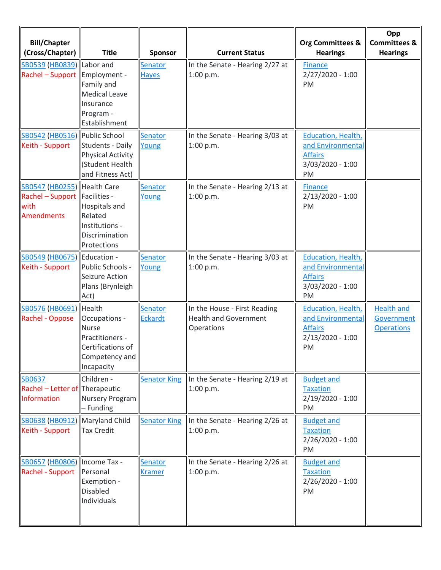| <b>Bill/Chapter</b><br>(Cross/Chapter)                                                       | <b>Title</b>                                                                                             | Sponsor                          | <b>Current Status</b>                                                      | <b>Org Committees &amp;</b><br><b>Hearings</b>                                              | Opp<br><b>Committees &amp;</b><br><b>Hearings</b>    |
|----------------------------------------------------------------------------------------------|----------------------------------------------------------------------------------------------------------|----------------------------------|----------------------------------------------------------------------------|---------------------------------------------------------------------------------------------|------------------------------------------------------|
| SB0539 (HB0839) Labor and<br>Rachel – Support   Employment -                                 | Family and<br><b>Medical Leave</b><br>Insurance<br>Program -<br>Establishment                            | <b>Senator</b><br><b>Hayes</b>   | In the Senate - Hearing 2/27 at<br>1:00 p.m.                               | <b>Finance</b><br>$2/27/2020 - 1:00$<br>PM                                                  |                                                      |
| SB0542 (HB0516) Public School<br>Keith - Support                                             | <b>Students - Daily</b><br><b>Physical Activity</b><br>(Student Health<br>and Fitness Act)               | <b>Senator</b><br>Young          | In the Senate - Hearing 3/03 at<br>1:00 p.m.                               | <b>Education, Health,</b><br>and Environmenta<br><b>Affairs</b><br>$3/03/2020 - 1:00$<br>PM |                                                      |
| SB0547 (HB0255)   Health Care<br>Rachel - Support  Facilities -<br>with<br><b>Amendments</b> | <b>Hospitals and</b><br>Related<br>Institutions -<br>Discrimination<br>Protections                       | Senator<br>Young                 | In the Senate - Hearing 2/13 at<br>1:00 p.m.                               | <b>Finance</b><br>$2/13/2020 - 1:00$<br>PM                                                  |                                                      |
| SB0549 (HB0675)<br>Keith - Support                                                           | Education -<br>Public Schools -<br>Seizure Action<br>Plans (Brynleigh<br>Act)                            | Senator<br>Young                 | In the Senate - Hearing 3/03 at<br>1:00 p.m.                               | <b>Education, Health,</b><br>and Environmenta<br><b>Affairs</b><br>3/03/2020 - 1:00<br>PM   |                                                      |
| SB0576 (HB0691)<br>Rachel - Oppose                                                           | Health<br>Occupations -<br>Nurse<br>Practitioners -<br>Certifications of<br>Competency and<br>Incapacity | <b>Senator</b><br><b>Eckardt</b> | In the House - First Reading<br><b>Health and Government</b><br>Operations | <b>Education, Health,</b><br>and Environmental<br><b>Affairs</b><br>2/13/2020 - 1:00<br>PM  | <b>Health and</b><br>Government<br><b>Operations</b> |
| <b>SB0637</b><br>Rachel - Letter of Therapeutic<br><b>Information</b>                        | Children -<br>Nursery Program<br>- Funding                                                               | <b>Senator King</b>              | In the Senate - Hearing 2/19 at<br>1:00 p.m.                               | <b>Budget and</b><br><b>Taxation</b><br>$2/19/2020 - 1:00$<br>PM                            |                                                      |
| SB0638 (HB0912)<br>Keith - Support                                                           | Maryland Child<br><b>Tax Credit</b>                                                                      | <b>Senator King</b>              | In the Senate - Hearing 2/26 at<br>1:00 p.m.                               | <b>Budget and</b><br><b>Taxation</b><br>$2/26/2020 - 1:00$<br>PM                            |                                                      |
| SB0657 (HB0806)   Income Tax -<br>Rachel - Support                                           | Personal<br>Exemption -<br><b>Disabled</b><br>Individuals                                                | Senator<br><b>Kramer</b>         | In the Senate - Hearing 2/26 at<br>1:00 p.m.                               | <b>Budget and</b><br><b>Taxation</b><br>$2/26/2020 - 1:00$<br>PM                            |                                                      |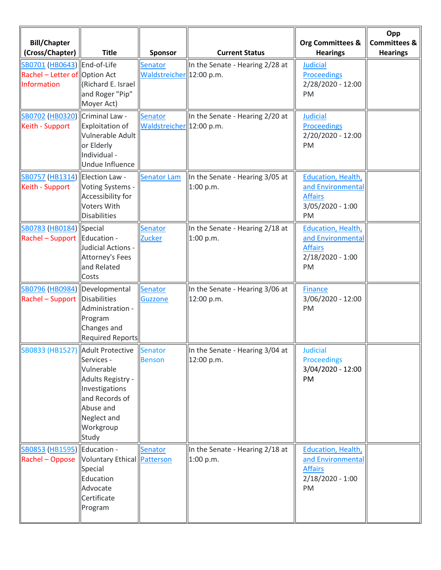| <b>Bill/Chapter</b><br>(Cross/Chapter)                                              | <b>Title</b>                                                                                                                        | Sponsor                                    | <b>Current Status</b>                         | Org Committees &<br><b>Hearings</b>                                                          | Opp<br><b>Committees &amp;</b><br><b>Hearings</b> |
|-------------------------------------------------------------------------------------|-------------------------------------------------------------------------------------------------------------------------------------|--------------------------------------------|-----------------------------------------------|----------------------------------------------------------------------------------------------|---------------------------------------------------|
| SB0701 (HB0643)  End-of-Life<br>Rachel – Letter of Option Act<br><b>Information</b> | Richard E. Israel<br>and Roger "Pip"<br>Moyer Act)                                                                                  | Senator<br>Waldstreicher 12:00 p.m.        | In the Senate - Hearing 2/28 at               | <b>Judicial</b><br><b>Proceedings</b><br>2/28/2020 - 12:00<br>PM                             |                                                   |
| SB0702 (HB0320) Criminal Law -<br>Keith - Support                                   | <b>Exploitation of</b><br>Vulnerable Adult<br>or Elderly<br>Individual -<br>Undue Influence                                         | <b>Senator</b><br>Waldstreicher 12:00 p.m. | In the Senate - Hearing 2/20 at               | <b>Judicial</b><br><b>Proceedings</b><br>2/20/2020 - 12:00<br>PM                             |                                                   |
| SB0757 (HB1314) Election Law -<br>Keith - Support                                   | Voting Systems -<br>Accessibility for<br><b>Voters With</b><br><b>Disabilities</b>                                                  | <b>Senator Lam</b>                         | In the Senate - Hearing 3/05 at<br>1:00 p.m.  | <b>Education, Health,</b><br>and Environmental<br><b>Affairs</b><br>$3/05/2020 - 1:00$<br>PM |                                                   |
| SB0783 (HB0184) Special<br>Rachel - Support  Education -                            | Judicial Actions -<br><b>Attorney's Fees</b><br>and Related<br>Costs                                                                | <b>Senator</b><br>Zucker                   | In the Senate - Hearing 2/18 at<br>1:00 p.m.  | <b>Education, Health,</b><br>and Environmental<br><b>Affairs</b><br>$2/18/2020 - 1:00$<br>PM |                                                   |
| SB0796 (HB0984) Developmental<br>Rachel - Support Disabilities                      | Administration -<br>Program<br>Changes and<br><b>Required Reports</b>                                                               | Senator<br><b>Guzzone</b>                  | In the Senate - Hearing 3/06 at<br>12:00 p.m. | <b>Finance</b><br>3/06/2020 - 12:00<br>PM                                                    |                                                   |
| SB0833 (HB1527) Adult Protective                                                    | Services -<br>Vulnerable<br>Adults Registry -<br>Investigations<br>and Records of<br>Abuse and<br>Neglect and<br>Workgroup<br>Study | Senator<br><b>Benson</b>                   | In the Senate - Hearing 3/04 at<br>12:00 p.m. | $\ $ Judicial<br><b>Proceedings</b><br>3/04/2020 - 12:00<br>PM                               |                                                   |
| SB0853 (HB1595) Education -<br>Rachel - Oppose Voluntary Ethical Patterson          | Special<br>Education<br>Advocate<br>Certificate<br>Program                                                                          | Senator                                    | In the Senate - Hearing 2/18 at<br>1:00 p.m.  | <b>Education, Health,</b><br>and Environmental<br><b>Affairs</b><br>$2/18/2020 - 1:00$<br>PM |                                                   |